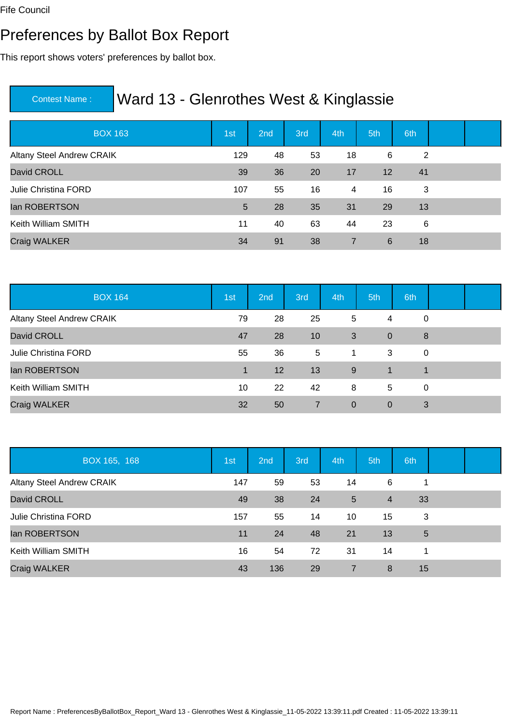#### Preferences by Ballot Box Report

This report shows voters' preferences by ballot box.

| <b>BOX 163</b>                   | 1st | 2 <sub>nd</sub> | 3rd | 4th | 5th | 6th |  |
|----------------------------------|-----|-----------------|-----|-----|-----|-----|--|
| <b>Altany Steel Andrew CRAIK</b> | 129 | 48              | 53  | 18  | 6   | 2   |  |
| David CROLL                      | 39  | 36              | 20  | 17  | 12  | 41  |  |
| <b>Julie Christina FORD</b>      | 107 | 55              | 16  | 4   | 16  | 3   |  |
| lan ROBERTSON                    | 5   | 28              | 35  | 31  | 29  | 13  |  |
| Keith William SMITH              | 11  | 40              | 63  | 44  | 23  | 6   |  |
| Craig WALKER                     | 34  | 91              | 38  | 7   | 6   | 18  |  |

| <b>BOX 164</b>                   | 1st | 2 <sub>nd</sub> | 3rd             | 4th            | 5th            | 6th |  |
|----------------------------------|-----|-----------------|-----------------|----------------|----------------|-----|--|
| <b>Altany Steel Andrew CRAIK</b> | 79  | 28              | 25              | 5              | 4              | 0   |  |
| David CROLL                      | 47  | 28              | 10              | 3              | $\mathbf 0$    | 8   |  |
| Julie Christina FORD             | 55  | 36              | $5\overline{)}$ | 1              | 3              | 0   |  |
| lan ROBERTSON                    | 1   | 12              | 13              | 9              | 1              | 1   |  |
| Keith William SMITH              | 10  | 22              | 42              | 8              | 5              | 0   |  |
| <b>Craig WALKER</b>              | 32  | 50              | $\overline{7}$  | $\overline{0}$ | $\overline{0}$ | 3   |  |

| BOX 165, 168                | 1st | 2nd | 3rd | 4th            | 5th            | 6th |  |
|-----------------------------|-----|-----|-----|----------------|----------------|-----|--|
| Altany Steel Andrew CRAIK   | 147 | 59  | 53  | 14             | 6              |     |  |
| David CROLL                 | 49  | 38  | 24  | 5              | $\overline{4}$ | 33  |  |
| <b>Julie Christina FORD</b> | 157 | 55  | 14  | 10             | 15             | 3   |  |
| lan ROBERTSON               | 11  | 24  | 48  | 21             | 13             | 5   |  |
| Keith William SMITH         | 16  | 54  | 72  | 31             | 14             | 1   |  |
| Craig WALKER                | 43  | 136 | 29  | $\overline{7}$ | 8              | 15  |  |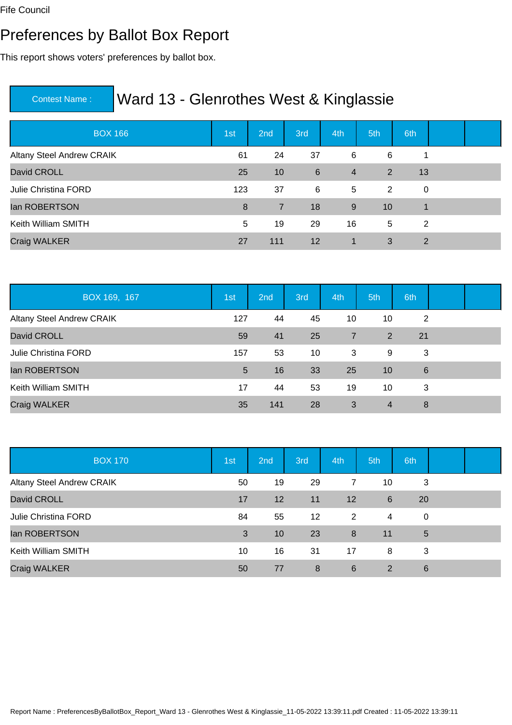#### Preferences by Ballot Box Report

This report shows voters' preferences by ballot box.

| <b>BOX 166</b>                   | 1st | 2nd | 3rd | 4th            | 5th | 6th            |  |
|----------------------------------|-----|-----|-----|----------------|-----|----------------|--|
| <b>Altany Steel Andrew CRAIK</b> | 61  | 24  | 37  | 6              | 6   | 1              |  |
| David CROLL                      | 25  | 10  | 6   | $\overline{4}$ | 2   | 13             |  |
| <b>Julie Christina FORD</b>      | 123 | 37  | 6   | 5              | 2   | 0              |  |
| lan ROBERTSON                    | 8   | 7   | 18  | 9              | 10  | 1              |  |
| Keith William SMITH              | 5   | 19  | 29  | 16             | 5   | 2              |  |
| <b>Craig WALKER</b>              | 27  | 111 | 12  | 1              | 3   | $\overline{2}$ |  |

| BOX 169, 167                     | 1st | 2nd | 3rd | 4th            | 5th            | 6th |  |
|----------------------------------|-----|-----|-----|----------------|----------------|-----|--|
| <b>Altany Steel Andrew CRAIK</b> | 127 | 44  | 45  | 10             | 10             | 2   |  |
| David CROLL                      | 59  | 41  | 25  | $\overline{7}$ | $\overline{2}$ | 21  |  |
| <b>Julie Christina FORD</b>      | 157 | 53  | 10  | 3              | 9              | 3   |  |
| lan ROBERTSON                    | 5   | 16  | 33  | 25             | 10             | 6   |  |
| Keith William SMITH              | 17  | 44  | 53  | 19             | 10             | 3   |  |
| Craig WALKER                     | 35  | 141 | 28  | 3              | 4              | 8   |  |

| <b>BOX 170</b>                   | 1st | 2nd | 3rd | 4th | 5th | 6th |  |
|----------------------------------|-----|-----|-----|-----|-----|-----|--|
| <b>Altany Steel Andrew CRAIK</b> | 50  | 19  | 29  | 7   | 10  | 3   |  |
| David CROLL                      | 17  | 12  | 11  | 12  | 6   | 20  |  |
| <b>Julie Christina FORD</b>      | 84  | 55  | 12  | 2   | 4   | 0   |  |
| lan ROBERTSON                    | 3   | 10  | 23  | 8   | 11  | 5   |  |
| Keith William SMITH              | 10  | 16  | 31  | 17  | 8   | 3   |  |
| Craig WALKER                     | 50  | 77  | 8   | 6   | 2   | 6   |  |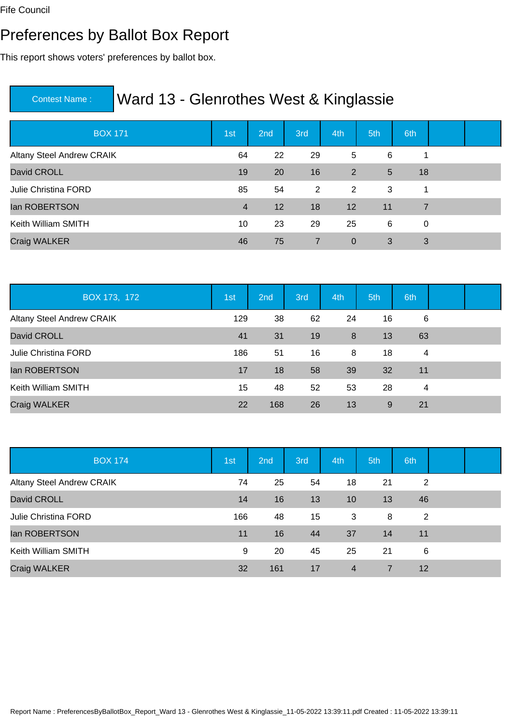#### Preferences by Ballot Box Report

This report shows voters' preferences by ballot box.

| <b>BOX 171</b>                   | 1st            | 2nd | 3rd            | 4th            | 5th | 6th            |  |
|----------------------------------|----------------|-----|----------------|----------------|-----|----------------|--|
| <b>Altany Steel Andrew CRAIK</b> | 64             | 22  | 29             | 5              | 6   |                |  |
| David CROLL                      | 19             | 20  | 16             | $\overline{2}$ | 5   | 18             |  |
| <b>Julie Christina FORD</b>      | 85             | 54  | $\overline{2}$ | $\overline{2}$ | 3   | 1              |  |
| lan ROBERTSON                    | $\overline{4}$ | 12  | 18             | 12             | 11  | $\overline{7}$ |  |
| Keith William SMITH              | 10             | 23  | 29             | 25             | 6   | 0              |  |
| Craig WALKER                     | 46             | 75  | $\overline{7}$ | $\mathbf 0$    | 3   | 3              |  |

| BOX 173, 172                     | 1st | 2nd | 3rd | 4th | 5th | 6th |  |
|----------------------------------|-----|-----|-----|-----|-----|-----|--|
| <b>Altany Steel Andrew CRAIK</b> | 129 | 38  | 62  | 24  | 16  | 6   |  |
| David CROLL                      | 41  | 31  | 19  | 8   | 13  | 63  |  |
| <b>Julie Christina FORD</b>      | 186 | 51  | 16  | 8   | 18  | 4   |  |
| lan ROBERTSON                    | 17  | 18  | 58  | 39  | 32  | 11  |  |
| Keith William SMITH              | 15  | 48  | 52  | 53  | 28  | 4   |  |
| Craig WALKER                     | 22  | 168 | 26  | 13  | 9   | 21  |  |

| <b>BOX 174</b>                   | 1st | 2nd | 3rd | 4th            | 5th | 6th |  |
|----------------------------------|-----|-----|-----|----------------|-----|-----|--|
| <b>Altany Steel Andrew CRAIK</b> | 74  | 25  | 54  | 18             | 21  | 2   |  |
| David CROLL                      | 14  | 16  | 13  | 10             | 13  | 46  |  |
| <b>Julie Christina FORD</b>      | 166 | 48  | 15  | 3              | 8   | 2   |  |
| lan ROBERTSON                    | 11  | 16  | 44  | 37             | 14  | 11  |  |
| Keith William SMITH              | 9   | 20  | 45  | 25             | 21  | 6   |  |
| Craig WALKER                     | 32  | 161 | 17  | $\overline{4}$ | 7   | 12  |  |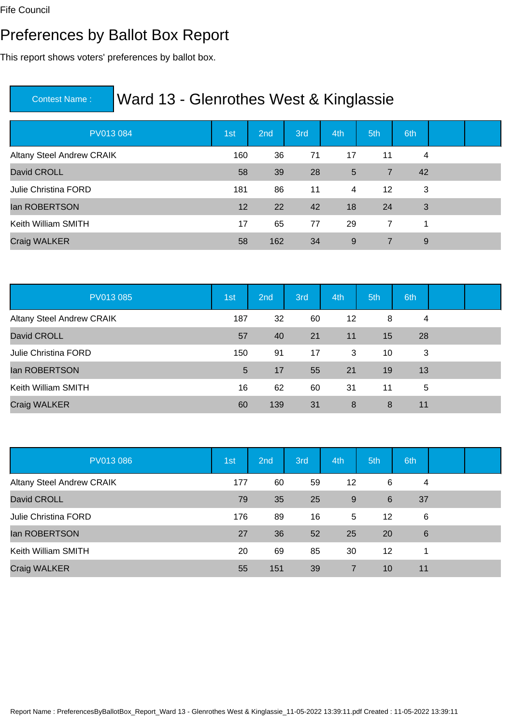#### Preferences by Ballot Box Report

This report shows voters' preferences by ballot box.

| PV013 084                        | 1st | 2 <sub>nd</sub> | 3rd | 4th | 5th            | 6th |  |
|----------------------------------|-----|-----------------|-----|-----|----------------|-----|--|
| <b>Altany Steel Andrew CRAIK</b> | 160 | 36              | 71  | 17  | 11             | 4   |  |
| David CROLL                      | 58  | 39              | 28  | 5   | $\overline{7}$ | 42  |  |
| Julie Christina FORD             | 181 | 86              | 11  | 4   | 12             | 3   |  |
| lan ROBERTSON                    | 12  | 22              | 42  | 18  | 24             | 3   |  |
| Keith William SMITH              | 17  | 65              | 77  | 29  | 7              | 1   |  |
| Craig WALKER                     | 58  | 162             | 34  | 9   | 7              | 9   |  |

| PV013 085                        | 1st | 2nd | 3rd | 4th     | 5th | 6th |  |
|----------------------------------|-----|-----|-----|---------|-----|-----|--|
| <b>Altany Steel Andrew CRAIK</b> | 187 | 32  | 60  | $12 \,$ | 8   | 4   |  |
| David CROLL                      | 57  | 40  | 21  | 11      | 15  | 28  |  |
| <b>Julie Christina FORD</b>      | 150 | 91  | 17  | 3       | 10  | 3   |  |
| lan ROBERTSON                    | 5   | 17  | 55  | 21      | 19  | 13  |  |
| Keith William SMITH              | 16  | 62  | 60  | 31      | 11  | 5   |  |
| Craig WALKER                     | 60  | 139 | 31  | 8       | 8   | 11  |  |

| PV013 086                        | 1st | 2nd | 3rd | 4th | 5th | 6th             |  |
|----------------------------------|-----|-----|-----|-----|-----|-----------------|--|
| <b>Altany Steel Andrew CRAIK</b> | 177 | 60  | 59  | 12  | 6   | 4               |  |
| David CROLL                      | 79  | 35  | 25  | 9   | 6   | 37              |  |
| Julie Christina FORD             | 176 | 89  | 16  | 5   | 12  | 6               |  |
| lan ROBERTSON                    | 27  | 36  | 52  | 25  | 20  | $6\phantom{1}6$ |  |
| Keith William SMITH              | 20  | 69  | 85  | 30  | 12  | 1               |  |
| Craig WALKER                     | 55  | 151 | 39  | 7   | 10  | 11              |  |